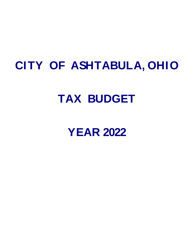## **CITY OF ASHTABULA, OHIO**

## **TAX BUDGET**

## **YEAR 2022**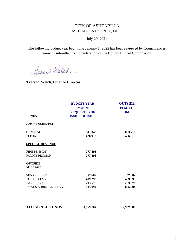## CITY OF ASHTABULA ASHTABULA COUNTY, OHIO

July 20, 2021

The following budget year beginning January 1, 2022 has been reviewed by Council and is herewith submitted for consideration of the County Budget Commission.

Trace Welch

**Traci R. Welch, Finance Director**

| <b>FUNDS</b>                                                                             | <b>BUDGET YEAR</b><br><b>AMOUNT</b><br><b>REQUESTED OF</b><br><b>INSIDE/OUTSIDE</b> | <b>OUTSIDE</b><br>10 MILL<br><b>LIMIT</b> |
|------------------------------------------------------------------------------------------|-------------------------------------------------------------------------------------|-------------------------------------------|
| <b>GOVERNMENTAL</b>                                                                      |                                                                                     |                                           |
| <b>GENERAL</b><br>PI FUND                                                                | 941,343<br>426,913                                                                  | 883,710<br>426,913                        |
| <b>SPECIAL REVENUE</b>                                                                   |                                                                                     |                                           |
| <b>FIRE PENSION</b><br><b>POLICE PENSION</b>                                             | 277,493<br>277,493                                                                  |                                           |
| <b>OUTSIDE</b><br><b>MILLAGE</b>                                                         |                                                                                     |                                           |
| <b>SENIOR LEVY</b><br>POLICE LEVY<br><b>PARK LEVY</b><br><b>ROADS &amp; BRIDGES LEVY</b> | 57,602<br>489,293<br>293,576<br>805,994                                             | 57,602<br>489,293<br>293,576<br>805,994   |
| <b>TOTAL ALL FUNDS</b>                                                                   | 3,569,707                                                                           | 2,957,088                                 |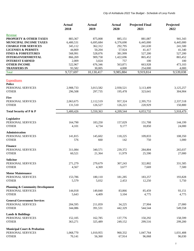|                                                                 | <b>Actual</b><br>2018 | <b>Actual</b><br>2019 | <b>Actual</b><br>2020 | <b>Projected Final</b><br>2021 | Projected<br>2022 |
|-----------------------------------------------------------------|-----------------------|-----------------------|-----------------------|--------------------------------|-------------------|
|                                                                 |                       |                       |                       |                                |                   |
| Revenue                                                         |                       |                       |                       |                                |                   |
| PROPERTY & OTHER TAXES                                          | 883,367               | 875,008               | 885,151               | 881,087                        | 941,343           |
| MUNICIPAL INCOME TAXES                                          | 6,400,531             | 6,695,684             | 6,376,690             | 6,445,000                      | 6,445,000         |
| <b>CHARGE FOR SERVICES</b>                                      | 345,112               | 362,312               | 292,795               | 241,630                        | 241,500           |
| <b>LICENSES &amp; PERMITS</b><br><b>FINES &amp; FORFEITURES</b> | 44,869<br>568,991     | 50,204<br>528,076     | 57,924<br>381,999     | 41,417<br>527,200              | 41,340<br>527,200 |
| <b>INTERGOVERNMENTAL</b>                                        | 866,269               | 909,758               | 1,422,696             | 865,452                        | 865,452           |
| <b>INTEREST EARNED</b>                                          | 2,009                 | 3,024                 | 757                   | 100                            | 100               |
| <b>OTHER INCOME</b>                                             | 522,967               | 676,346               | 563,871               | 663,928                        | 473,103           |
| <b>TRANSFERS IN</b>                                             | 93,582                | 30,005                | 4,000                 | 254,000                        | 4,000             |
| <b>Total</b>                                                    | 9,727,697             | 10,130,417            | 9,985,884             | 9,919,814                      | 9,539,038         |
|                                                                 |                       |                       |                       |                                |                   |
| <b>Expenditures</b>                                             |                       |                       |                       |                                |                   |
| <b>Police</b>                                                   |                       |                       |                       |                                |                   |
| PERSONAL SERVICES                                               | 2,908,733             | 3,013,582             | 2,930,521             | 3,113,409                      | 3,125,257         |
| <b>OTHER</b>                                                    | 296,508               | 297,735               | 195,478               | 323,641                        | 304,904           |
| <b>Fire</b>                                                     |                       |                       |                       |                                |                   |
| PERSONAL SERVICES                                               | 2,063,675             | 2,112,519             | 957,324               | 2,395,753                      | 2,337,518         |
| <b>OTHER</b>                                                    | 131,510               | 126,527               | 126,221               | 220,929                        | 150,800           |
| Total Security of P & P                                         | 5,400,426             | 5,550,363             | 4,209,544             | 6,053,732                      | 5,918,479         |
|                                                                 |                       |                       |                       |                                |                   |
| Legislative                                                     |                       |                       |                       |                                |                   |
| PERSONAL SERVICES                                               | 164,790               | 183,250               | 157,029               | 151,708                        | 144,199           |
| <b>OTHER</b>                                                    | 4,101                 | 4,734                 | 9,177                 | 18,850                         | 24,000            |
| Administration                                                  |                       |                       |                       |                                |                   |
| PERSONAL SERVICES                                               | 141,815               | 145,602               | 118,225               | 109,833                        | 108,350           |
| <b>OTHER</b>                                                    | 576                   | 660                   | 142                   | 750                            | 1,000             |
| <b>Finance</b>                                                  |                       |                       |                       |                                |                   |
| PERSONAL SERVICES                                               | 311,084               | 340,571               | 239,372               | 284,804                        | 265,037           |
| <b>OTHER</b>                                                    | 60,521                | 21,364                | 11,979                | 25,590                         | 27,000            |
| Solicitor                                                       |                       |                       |                       |                                |                   |
| PERSONAL SERVICES                                               | 271,279               | 279,679               | 307,243               | 322,802                        | 331,585           |
| <b>OTHER</b>                                                    | 4,567                 | 4,369                 | 3,677                 | 7,669                          | 7,500             |
|                                                                 |                       |                       |                       |                                |                   |
| <b>Motor Maintenance</b><br>PERSONAL SERVICES                   | 153,786               | 180,110               |                       | 183,257                        | 193,828           |
| <b>OTHER</b>                                                    | 5,579                 | 5,032                 | 181,285<br>2,453      | 12,250                         | 5,750             |
|                                                                 |                       |                       |                       |                                |                   |
| <b>Planning &amp; Community Development</b>                     |                       |                       |                       |                                |                   |
| PERSONAL SERVICES                                               | 144,018               | 149,840               | 83,866                | 85,459                         | 93,151            |
| <b>OTHER</b>                                                    | 5,643                 | 4,409                 | 3,104                 | 4,775                          | 4,775             |
| <b>General Government Services</b>                              |                       |                       |                       |                                |                   |
| PERSONAL SERVICES                                               | 204,595               | 211,059               | 34,225                | 27,904                         | 27,000            |
| <b>OTHER</b>                                                    | 344,086               | 391,531               | 442,329               | 544,544                        | 549,558           |
| <b>Lands &amp; Buildings</b>                                    |                       |                       |                       |                                |                   |
| PERSONAL SERVICES                                               | 152,105               | 162,785               | 137,776               | 150,292                        | 158,599           |
| <b>OTHER</b>                                                    | 363,271               | 325,489               | 249,152               | 299,516                        | 299,200           |
|                                                                 |                       |                       |                       |                                |                   |
| <b>Municipal Court &amp; Probation</b>                          |                       |                       |                       |                                |                   |
| PERSONAL SERVICES<br><b>OTHER</b>                               | 1,068,770             | 1,010,955             | 960,332               | 1,047,764                      | 1,031,408         |
|                                                                 | 70,141                | 56,360                | 67,914                | 96,068                         | 96,030            |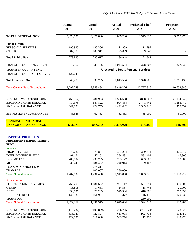|                                        | <b>Actual</b><br>2018 | <b>Actual</b><br>2019 | <b>Actual</b><br>2020 | <b>Projected Final</b><br>2021              | Projected<br>2022 |
|----------------------------------------|-----------------------|-----------------------|-----------------------|---------------------------------------------|-------------------|
| TOTAL GENERAL GOV.                     | 3,470,725             | 3,477,800             | 3,009,280             | 3,373,835                                   | 3,367,970         |
| <b>Public Health</b>                   |                       |                       |                       |                                             |                   |
| PERSONAL SERVICES                      | 196,995               | 180,306               | 111,909               | 11,999                                      |                   |
| <b>OTHER</b>                           | 82,900                | 100,311               | 75,039                | 9,543                                       |                   |
| <b>Total Public Health</b>             | 279,895               | 280,617               | 186,948               | 21,542                                      |                   |
| TRANSFER OUT - SPEC REVENUE            | 518,962               | 539,705               | 1,043,504             | 1,328,707                                   | 1,367,438         |
| TRANSFER OUT - INT SVC                 |                       |                       |                       | <b>Allocated to Depts Personal Services</b> |                   |
| TRANSFER OUT - DEBT SERVICE            | 127,241               |                       |                       |                                             |                   |
| <b>Total Transfer Out</b>              | 646,203               | 539,705               | 1,043,504             | 1,328,707                                   | 1,367,438         |
| <b>Total General Fund Expenditures</b> | 9,797,249             | 9,848,484             | 8,449,276             | 10,777,816                                  | 10,653,886        |
|                                        |                       |                       |                       |                                             |                   |
| REVENUE VS EXPENDITURE                 | (69, 552)             | 281,933               | 1,536,608             | (858,002)                                   | (1, 114, 848)     |
| <b>BEGINNING CASH BALANCE</b>          | 717,375               | 647,822               | 904,834               | 2,441,442                                   | 1,583,440         |
| <b>ENDING CASH BALANCE</b>             | 647,822               | 929,755               | 2,441,442             | 1,583,440                                   | 468,592           |
| <b>ESTIMATED ENCUMBRANCES</b>          | 43,545                | 62,463                | 62,463                | 65,000                                      | 50,000            |
| <b>GENERAL FUND ENDING</b>             |                       |                       |                       |                                             |                   |
| <b>UNENCUM CASH BALANCE</b>            | 604,277               | 867,292               | 2,378,979             | 1,518,440                                   | 418,592           |
| <b>CAPITAL PROJECTS</b>                |                       |                       |                       |                                             |                   |
| PERMANENT IMPROVEMENT<br><b>FUND</b>   |                       |                       |                       |                                             |                   |
| Revenue                                |                       |                       |                       |                                             |                   |
| PROPERTY TAX                           | 375,720               | 370,864               | 367,284               | 399,314                                     | 426,912           |
| <b>INTERGOVERNMENTAL</b>               | 91,174                | 57,151                | 354,431               | 581,409                                     | 47,800            |
| <b>INCOME TAX</b>                      | 706,802               | 738,765               | 703,172               | 683,500                                     | 683,500           |
| <b>MISC</b>                            | 33,441                | 184,492               | 240,914               | 139,103                                     |                   |
| <b>LOAN/BOND PROCEEDS</b>              |                       | 273,211               | $\overline{a}$        |                                             |                   |
| <b>TRANS IN</b>                        |                       | 107,007               | 250,000               |                                             |                   |
| <b>Total PI Fund Revenue</b>           | 1,207,137             | 1,731,490             | 1,915,800             | 1,803,325                                   | 1,158,212         |
| <b>Expenditures</b>                    |                       |                       |                       |                                             |                   |
| EQUIPMENT/IMPROVEMENTS                 | 762,209               | 1,181,602             | 927,117               | 1,561,394                                   | 410,000           |
| <b>OTHER</b>                           | 15,818                | 17,631                | 14,557                | 18,744                                      | 20,000            |
| <b>DEBT</b>                            | 398,006               | 476,245               | 529,984               | 618,096                                     | 570,453           |
| <b>DEBT_INTEREST</b>                   | 146,336               | 161,901               | 157,377               | 146,115                                     | 129,532           |
| <b>TRANS OUT</b>                       |                       |                       |                       | 250,000                                     |                   |
| <b>Total PI Fund Expenditures</b>      | 1,322,369             | 1,837,379             | 1,629,034             | 2,594,349                                   | 1,129,984         |
| REVENUE VS EXPENDITURE                 | (115, 232)            | (105, 889)            | 286,765               | (791, 024)                                  | 28,228            |
| <b>BEGINNING CASH BALANCE</b>          | 838,129               | 722,897               | 617,008               | 903,774                                     | 112,750           |
| <b>ENDING CASH BALANCE</b>             | 722,897               | 617,008               | 903,774               | 112,750                                     | 140,978           |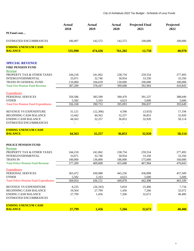|                                                               | <b>Actual</b><br>2018 | <b>Actual</b><br>2019 | <b>Actual</b><br>2020 | <b>Projected Final</b><br>2021 | Projected<br>2022 |
|---------------------------------------------------------------|-----------------------|-----------------------|-----------------------|--------------------------------|-------------------|
| PI Fund cont                                                  |                       |                       |                       |                                |                   |
| <b>ESTIMATED ENCUMBRANCES</b>                                 | 186,907               | 142,572               | 142,572               | 100,000                        | 100,000           |
| <b>ENDING UNENCUM CASH</b>                                    |                       |                       |                       |                                |                   |
| <b>BALANCE</b>                                                | 535,990               | 474,436               | 761,202               | 12,750                         | 40,978            |
| <b>SPECIAL REVENUE</b><br><b>FIRE PENSION FUND</b><br>Revenue |                       |                       |                       |                                |                   |
| PROPERTY TAX & OTHER TAXES                                    | 244,218               | 241,062               | 238,734               | 259,554                        | 277,493           |
| <b>INTERGOVERNMENTAL</b>                                      | 33,071                | 32,746                | 30,954                | 33,350                         | 33,350            |
| <b>TRANS IN GENERAL FUND</b>                                  | 110,000               | 104,639               | 130,000               | 100,000                        | 100,000           |
| <b>Total Fire Pension Fund Revenue</b>                        | 387,289               | 378,447               | 399,688               | 392,904                        | 410,843           |
| <b>Expenditures</b>                                           |                       |                       |                       |                                |                   |
| PERSONAL SERVICES                                             | 350,586               | 385,590               | 390,470               | 391,237                        | 388,049           |
| <b>OTHER</b>                                                  | 5,582                 | 5,163                 | 4,623                 | 5,600                          | 5,600             |
| <b>Total Fire Pension Fund Expenditures</b>                   | 356,168               | 390,753               | 395,093               | 396,837                        | 393,649           |
| REVENUE VS EXPENDITURE                                        | 31,121                | (12,306)              | 4,596                 | (3,933)                        | 17,194            |
| <b>BEGINNING CASH BALANCE</b>                                 | 13,442                | 44,563                | 32,257                | 36,853                         | 32,920            |
| <b>ENDING CASH BALANCE</b>                                    | 44,563                | 32,257                | 36,853                | 32,920                         | 50,114            |
| <b>ESTIMATED ENCUMBRANCES</b>                                 |                       |                       |                       |                                |                   |
| <b>ENDING UNENCUM CASH</b>                                    |                       |                       |                       |                                |                   |
| <b>BALANCE</b>                                                | 44,563                | 32,257                | 36,853                | 32,920                         | 50,114            |
| POLICE PENSION FUND<br>Revenue                                |                       |                       |                       |                                |                   |
| PROPERTY TAX & OTHER TAXES                                    | 244,218               | 241,062               | 238,734               | 259,554                        | 277,493           |
| <b>INTERGOVERNMENTAL</b>                                      | 33,071                | 32,746                | 30,954                | 33,350                         | 33,350            |
| <b>TRANS IN</b>                                               | 100,000               | 136,000               | 186,000               | 175,000                        | 160,000           |
| <b>Total Police Pension Fund Revenue</b>                      | 377,289               | 409,808               | 455,688               | 467,904                        | 470,843           |
| <b>Expenditures</b>                                           |                       |                       |                       |                                |                   |
| PERSONAL SERVICES                                             | 363,472               | 430,988               | 445,256               | 436,898                        | 457,509           |
| <b>OTHER</b>                                                  | 5,582                 | 5,163                 | 4,623                 | 5,600                          | 5,600             |
| <b>Total Police Pension Fund Expenditures</b>                 | 369,054               | 436,151               | 449,878               | 442,498                        | 463,109           |
| REVENUE VS EXPENDITURE                                        | 8,235                 | (26, 343)             | 5,810                 | 25,406                         | 7,734             |
| <b>BEGINNING CASH BALANCE</b>                                 | 19,564                | 27,799                | 1,456                 | 7,266                          | 32,672            |
| <b>ENDING CASH BALANCE</b>                                    | 27,799                | 1,456                 | 7,266                 | 32,672                         | 40,406            |
| ESTIMATED ENCUMBRANCES                                        |                       |                       |                       |                                |                   |
| <b>ENDING UNENCUM CASH</b>                                    |                       |                       |                       |                                |                   |
| <b>BALANCE</b>                                                | 27,799                | 1,456                 | 7,266                 | 32,672                         | 40,406            |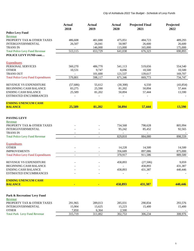|                                                                | <b>Actual</b><br>2018    | <b>Actual</b><br>2019    | Actual<br>2020           | <b>Projected Final</b><br>2021 | Projected<br>2022 |
|----------------------------------------------------------------|--------------------------|--------------------------|--------------------------|--------------------------------|-------------------|
| <b>Police Levy Fund</b>                                        |                          |                          |                          |                                |                   |
| Revenue                                                        |                          |                          |                          |                                |                   |
| PROPERTY TAX & OTHER TAXES                                     | 486,608                  | 481,688                  | 475,051                  | 484,723                        | 489,293           |
| <b>INTERGOVERNMENTAL</b>                                       | 26,507                   | 26,041                   | 50,987                   | 26,600                         | 26,600            |
| <b>TRANS IN</b>                                                | $\overline{\phantom{a}}$ | 146,000                  | 115,000                  | 165,000                        | 175,000           |
| <b>Total Police Levy Fund Revenue</b><br>POLICE LEVY FUND cont | 513,115                  | 653,729                  | 641,038                  | 676,323                        | 690,893           |
|                                                                |                          |                          |                          |                                |                   |
| <b>Expenditures</b>                                            |                          |                          |                          |                                |                   |
| PERSONAL SERVICES                                              | 560,270                  | 486,770                  | 541,113                  | 519,656                        | 554,540           |
| <b>OTHER</b>                                                   | 10,531                   | 9,747                    | 8,696                    | 10,500                         | 10,500            |
| <b>TRANS OUT</b>                                               |                          | 101,600                  | 121,537                  | 139,617                        | 169,707           |
| <b>Total Police Levy Fund Expenditures</b>                     | 570,801                  | 598,117                  | 671,346                  | 669,773                        | 734,747           |
| REVENUE VS EXPENDITURE                                         | (57, 686)                | 55,612                   | (30, 308)                | 6,550                          | (43, 854)         |
| <b>BEGINNING CASH BALANCE</b>                                  | 83,275                   | 25,590                   | 81,202                   | 50,894                         | 57,444            |
| <b>ENDING CASH BALANCE</b>                                     | 25,589                   | 81,202                   | 50,894                   | 57,444                         | 13,590            |
| ESTIMATED ENCUMBRANCES                                         |                          |                          |                          |                                |                   |
| <b>ENDING UNENCUM CASH</b>                                     |                          |                          |                          |                                |                   |
| <b>BALANCE</b>                                                 | 25,589                   | 81,202                   | 50,894                   | 57,444                         | 13,590            |
| PAVING LEVY                                                    |                          |                          |                          |                                |                   |
| Revenue                                                        |                          |                          |                          |                                |                   |
| PROPERTY TAX & OTHER TAXES                                     |                          |                          | 734,568                  | 798,628                        | 805,994           |
| <b>INTERGOVERNMENTAL</b>                                       |                          |                          | 95,242                   | 85,452                         | 92,565            |
| <b>TRANS IN</b>                                                |                          |                          | $\overline{\phantom{a}}$ |                                |                   |
| <b>Total Police Levy Fund Revenue</b>                          | $\overline{a}$           |                          | 829,810                  | 884,080                        | 898,559           |
| <b>Expenditures</b>                                            |                          |                          |                          |                                |                   |
| <b>OTHER</b>                                                   |                          |                          | 14,228                   | 14,500                         | 14,500            |
| <b>IMPROVEMENTS</b>                                            | $\overline{\phantom{a}}$ | $\overline{\phantom{a}}$ | 356,689                  | 897,086                        | 875,000           |
| <b>Total Police Levy Fund Expenditures</b>                     | $\overline{\phantom{a}}$ | $\overline{\phantom{a}}$ | 370,917                  | 911,586                        | 889,500           |
| REVENUE VS EXPENDITURE                                         | $\overline{\phantom{m}}$ |                          | 458,893                  | (27, 506)                      | 9,059             |
| <b>BEGINNING CASH BALANCE</b>                                  |                          |                          |                          | 458,893                        | 431,387           |
| <b>ENDING CASH BALANCE</b>                                     |                          |                          | 458,893                  | 431,387                        | 440,446           |
| ESTIMATED ENCUMBRANCES                                         |                          |                          |                          |                                |                   |
| <b>ENDING UNENCUM CASH</b>                                     |                          |                          |                          |                                |                   |
| <b>BALANCE</b>                                                 |                          |                          | 458,893                  | 431,387                        | 440,446           |
|                                                                |                          |                          |                          |                                |                   |
| Park & Recreation/ Levy Fund                                   |                          |                          |                          |                                |                   |
| Revenue                                                        |                          |                          |                          |                                |                   |
| PROPERTY TAX & OTHER TAXES                                     | 291,965                  | 289,013                  | 285,031                  | 290,834                        | 293,576           |
| <b>INTERGOVERNMENTAL</b>                                       | 15,904                   | 15,625                   | 15,223                   | 15,400                         | 15,400            |
| <b>OTHER</b><br><b>Total Park Levy Fund Revenue</b>            | 7,850<br>315,719         | 6,364<br>311,002         | 2,500<br>302,753         | 306,234                        | 308,976           |
|                                                                |                          |                          |                          |                                |                   |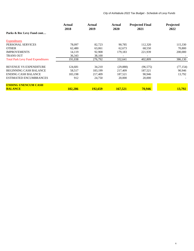*City of Ashtabula 2022 Tax Budget - Schedule of Levy Funds* 

|                                          | Actual<br>2018 | Actual<br>2019 | Actual<br>2020 | <b>Projected Final</b><br>2021 | Projected<br>2022 |  |
|------------------------------------------|----------------|----------------|----------------|--------------------------------|-------------------|--|
| Parks & Rec Levy Fund cont               |                |                |                |                                |                   |  |
| Expenditures                             |                |                |                |                                |                   |  |
| PERSONAL SERVICES                        | 78,097         | 82,723         | 90,785         | 112,320                        | 115,330           |  |
| <b>OTHER</b>                             | 62,480         | 63,061         | 62,673         | 68,550                         | 70,800            |  |
| <b>IMPROVEMENTS</b>                      | 14,119         | 92,908         | 179,183        | 221,939                        | 200,000           |  |
| <b>TRANS OUT</b>                         | 36,343         | 38,100         |                | $\overline{\phantom{a}}$       |                   |  |
| <b>Total Park Levy Fund Expenditures</b> | 191,038        | 276,792        | 332,641        | 402,809                        | 386,130           |  |
| REVENUE VS EXPENDITURE                   | 124,681        | 34,210         | (29, 888)      | (96, 575)                      | (77, 154)         |  |
| <b>BEGINNING CASH BALANCE</b>            | 58,517         | 183,199        | 217,409        | 187,521                        | 90,946            |  |
| <b>ENDING CASH BALANCE</b>               | 183.198        | 217,409        | 187,521        | 90,946                         | 13,792            |  |
| <b>ESTIMATED ENCUMBRANCES</b>            | 912            | 24,750         | 20,000         | 20,000                         |                   |  |
| <b>ENDING UNENCUM CASH</b>               |                |                |                |                                |                   |  |
| <b>BALANCE</b>                           | 182.286        | 192,659        | 167,521        | 70,946                         | 13,792            |  |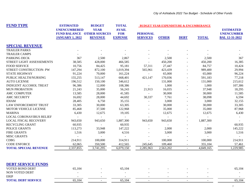| <b>FUND TYPE</b>                | <b>ESTIMATED</b>                              | <b>BUDGET</b>                                                      | <b>TOTAL</b>                                 |                                    | <b>BUDGET YEAR EXPENDITURE &amp; ENCUMBERANCE</b> |             |                |                                                                |  |
|---------------------------------|-----------------------------------------------|--------------------------------------------------------------------|----------------------------------------------|------------------------------------|---------------------------------------------------|-------------|----------------|----------------------------------------------------------------|--|
|                                 | <b>UNENCUMBERED</b><br><b>JANUARY 1, 2022</b> | <b>YEAR</b><br><b>FUND BALANCE OTHER SOURCES</b><br><b>REVENUE</b> | <b>AVAIL</b><br><b>FOR</b><br><b>EXPENSE</b> | <b>PERSONAL</b><br><b>SERVICES</b> | <b>OTHER</b>                                      | <b>DEBT</b> | <b>TOTAL</b>   | <b>ESTIMATED</b><br><b>UNENCUMBER</b><br><b>BAL 12-31-2022</b> |  |
| <b>SPECIAL REVENUE</b>          |                                               |                                                                    |                                              |                                    |                                                   |             |                |                                                                |  |
| <b>TRAILER PARKS</b>            |                                               |                                                                    |                                              |                                    |                                                   |             |                |                                                                |  |
| <b>TRAILER CAMPS</b>            |                                               |                                                                    |                                              |                                    |                                                   |             |                |                                                                |  |
| PARKING DECK                    | 367                                           | 2,500                                                              | 2,867                                        |                                    | 2,500                                             |             | 2,500          | 367                                                            |  |
| STREET LIGHT ASSESSEMENTS       | 38,585                                        | 428,000                                                            | 466,585                                      |                                    | 450,200                                           |             | 450,200        | 16,385                                                         |  |
| <b>FOOD SERVICE</b>             | 10,756                                        | 84,425                                                             | 95,181                                       | 57,311                             | 27,447                                            |             | 84,757         | 10,424                                                         |  |
| STREET CONSTRUCTION- PW         | 147,294                                       | 872,100                                                            | 1,019,394                                    | 565,961                            | 423,439                                           |             | 989,400        | 29,994                                                         |  |
| <b>STATE HIGHWAY</b>            | 91,224                                        | 70,000                                                             | 161,224                                      | $\sim$                             | 65,000                                            |             | 65,000         | 96,224                                                         |  |
| PUBLIC HEALTH/NURSING           | 155,255                                       | 513,147                                                            | 668,401                                      | 421,147                            | 170,036                                           |             | 591,183        | 77,218                                                         |  |
| <b>AUTO LICENSE</b>             | 196,512                                       | 150,100                                                            | 346,612                                      |                                    | 131,000                                           |             | 131,000        | 215,612                                                        |  |
| <b>INDIGENT ALCOHOL TREAT</b>   | 96,386                                        | 12,000                                                             | 108,386                                      | $\sim$                             | 1,000                                             |             | 1,000          | 107,386                                                        |  |
| <b>MUN PROBATION</b>            | 21,243                                        | 35,000                                                             | 56,243                                       | 21,913                             | 16,035                                            |             | 37,948         | 18,295                                                         |  |
| <b>AMC COMPUTER</b>             | 13,585                                        | 28,000                                                             | 41,585                                       |                                    | 30,000                                            |             | 30,000         | 11,585                                                         |  |
| <b>AMC SECURITY</b>             | 16,692                                        | 28,000                                                             | 44,692                                       | 30,337                             | 7,761                                             |             | 38,098         | 6,594                                                          |  |
| <b>IDIAM</b>                    | 28,405                                        | 6,750                                                              | 35,155                                       |                                    | 3,000                                             |             | 3,000          | 32,155                                                         |  |
| LAW ENFORCEMENT TRUST           | 33,305                                        | 30,000                                                             | 63,305                                       |                                    | 30,000                                            |             | 30,000         | 33,305                                                         |  |
| MOTOR VEHICLE LICENSE           | 85,468                                        | 37,500                                                             | 122,968                                      |                                    | 35,000                                            |             | 35,000         | 87,968                                                         |  |
| <b>MARINA</b>                   | 6,430                                         | 12,675                                                             | 19,105                                       |                                    | 12,675                                            |             | 12,675         | 6,430                                                          |  |
| <b>LOCAL CORONAVIRUS RELIEF</b> |                                               |                                                                    |                                              |                                    |                                                   |             |                |                                                                |  |
| <b>LOCAL FISCAL RECOVERY</b>    | 943,650                                       | 943,650                                                            | 1,887,300                                    | 943,650                            | 943,650                                           |             | 1,887,300      |                                                                |  |
| RECYCLING GRANT                 | 60,935                                        |                                                                    | 60,935                                       |                                    |                                                   |             |                | 60,935                                                         |  |
| POLICE GRANTS                   | 113,273                                       | 33,948                                                             | 147,222                                      |                                    | 2,000                                             |             | 2,000          | 145,222                                                        |  |
| <b>FIRE GRANTS</b>              | 1,516                                         | 3,000                                                              | 4,516                                        |                                    | 3,000                                             |             | 3,000          | 1,516                                                          |  |
| <b>MISC GRANTS</b>              |                                               |                                                                    |                                              |                                    |                                                   |             | $\blacksquare$ |                                                                |  |
| <b>CDBG</b>                     | 214,911                                       | 100,000                                                            | 314,911                                      |                                    | 100,000                                           |             | 100,000        | 214,911                                                        |  |
| <b>CODE ENFORCE</b>             | 62,065                                        | 350,500                                                            | 412,565                                      | 245,645                            | 109,460                                           |             | 355,104        | 57,461                                                         |  |
| <b>TOTAL SPECIAL REVENUE</b>    | 2,337,855                                     | 3,741,295                                                          | 6,079,150                                    | 2,285,963                          | 2,563,202                                         |             | 4,849,165      | 1,229,985                                                      |  |

|                 | <b>DEBT SERVICE FUNDS</b> |
|-----------------|---------------------------|
| UATER BAUR BERT |                           |

| VOTED BOND DEBT                   | 5.104     | 104<br>n. |        |        | 65,104 |
|-----------------------------------|-----------|-----------|--------|--------|--------|
| NON VOTED DEBT                    |           |           | $\sim$ |        |        |
| ERIP                              |           |           |        |        |        |
| <b>SERVICE</b><br>TOTAL<br>. DERT | $55,10^7$ | $-5104$   |        | $\sim$ | 65,104 |
|                                   |           |           |        |        |        |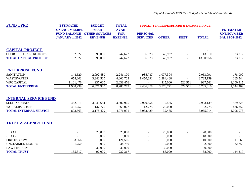| <b>FUND TYPE</b>               | <b>ESTIMATED</b>                                                     | <b>BUDGET</b>                                         | <b>TOTAL</b>                                 |                                    | <b>BUDGET YEAR EXPENDITURE &amp; ENCUMBERANCE</b> |             |              |                                                                |
|--------------------------------|----------------------------------------------------------------------|-------------------------------------------------------|----------------------------------------------|------------------------------------|---------------------------------------------------|-------------|--------------|----------------------------------------------------------------|
|                                | <b>UNENCUMBERED</b><br><b>FUND BALANCE</b><br><b>JANUARY 1, 2022</b> | <b>YEAR</b><br><b>OTHER SOURCES</b><br><b>REVENUE</b> | <b>AVAIL</b><br><b>FOR</b><br><b>EXPENSE</b> | <b>PERSONAL</b><br><b>SERVICES</b> | <b>OTHER</b>                                      | <b>DEBT</b> | <b>TOTAL</b> | <b>ESTIMATED</b><br><b>UNENCUMBER</b><br><b>BAL 12-31-2022</b> |
| <b>CAPITAL PROJECT</b>         |                                                                      |                                                       |                                              |                                    |                                                   |             |              |                                                                |
| <b>COURT SPECIAL PROJECTS</b>  | 152,622                                                              | 95,000                                                | 247,622                                      | 66,973                             | 46,937                                            |             | 113,910      | 133,712                                                        |
| <b>TOTAL CAPITAL PROJECT</b>   | 152,622                                                              | 95,000                                                | 247,622                                      | 66,973                             | 46,937                                            | $\sim$      | 113,909.56   | 133,712                                                        |
| <b>ENTERPRISE FUND</b>         |                                                                      |                                                       |                                              |                                    |                                                   |             |              |                                                                |
| <b>SANITATION</b>              | 148,620                                                              | 2,092,480                                             | 2,241,100                                    | 985,787                            | 1,077,304                                         |             | 2,063,091    | 178,009                                                        |
| <b>WASTEWATER</b>              | 658,203                                                              | 3,342,500                                             | 4,000,703                                    | 1,450,691                          | 2,284,468                                         |             | 3,735,159    | 265,544                                                        |
| <b>WPC CAPITAL</b>             | 1,101,476                                                            | 937,000                                               | 2,038,476                                    |                                    | 415,000                                           | 522,561     | 937,561      | 1,100,915                                                      |
| <b>TOTAL ENTERPRISE</b>        | 1,908,299                                                            | 6,371,980                                             | 8,280,279                                    | 2,436,478                          | 3,776,771                                         | 522,561     | 6,735,810    | 1,544,469                                                      |
| <b>INTERNAL SERVICE FUND</b>   |                                                                      |                                                       |                                              |                                    |                                                   |             |              |                                                                |
| <b>SELF INSURANCE</b>          | 462,311                                                              | 3,040,654                                             | 3,502,965                                    | 2,920,654                          | 12,485                                            |             | 2,933,139    | 569,826                                                        |
| <b>WORKERS COMP</b>            | 431,252                                                              | 137,775                                               | 569,027                                      | 112,775                            | 20,000                                            |             | 132,775      | 436,252                                                        |
| <b>TOTAL INTERNAL SERVICE</b>  | 893,563                                                              | 3,178,429                                             | 4,071,991                                    | 3,033,429                          | 32,485                                            |             | 3,065,914    | 1,006,078                                                      |
| <b>TRUST &amp; AGENCY FUND</b> |                                                                      |                                                       |                                              |                                    |                                                   |             |              |                                                                |
| JEDD 1                         |                                                                      | 28,000                                                | 28,000                                       |                                    | 28,000                                            |             | 28,000       |                                                                |
| JEDD <sub>2</sub>              |                                                                      | 18,000                                                | 18,000                                       |                                    | 18,000                                            |             | 18,000       |                                                                |
| <b>FIRE ESCROW</b>             | 103,566                                                              | 18,000                                                | 121,566                                      |                                    | 10,000                                            |             | 10,000       | 111,566                                                        |
| <b>UNCLAIMED MONIES</b>        | 31,750                                                               | 3,000                                                 | 34,750                                       |                                    | 2,000                                             |             | 2,000        | 32,750                                                         |
| <b>LAW LIBRARY</b>             |                                                                      | 30,000                                                | 30,000                                       |                                    | 30,000                                            |             | 30,000       |                                                                |
| <b>TOTAL TRUST</b>             | 135,317                                                              | 97,000                                                | 232,317                                      |                                    | 88,000                                            |             | 88,000       | 144,317                                                        |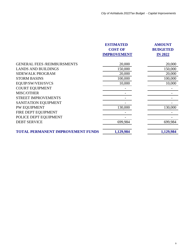|                                          | <b>ESTIMATED</b>   | <b>AMOUNT</b>   |
|------------------------------------------|--------------------|-----------------|
|                                          | <b>COST OF</b>     | <b>BUDGETED</b> |
|                                          | <b>IMPROVEMENT</b> | <b>IN 2022</b>  |
| <b>GENERAL FEES /REIMBURSMENTS</b>       | 20,000             | 20,000          |
| <b>LANDS AND BUILDINGS</b>               | 150,000            | 150,000         |
| <b>SIDEWALK PROGRAM</b>                  | 20,000             | 20,000          |
| <b>STORM BASINS</b>                      | 100,000            | 100,000         |
| EQUIP/SW/VEH/SVCS                        | 10,000             | 10,000          |
| <b>COURT EQUIPMENT</b>                   |                    |                 |
| MISC/OTHER                               |                    |                 |
| <b>STREET IMPROVEMENTS</b>               |                    |                 |
| SANITATION EQUIPMENT                     |                    |                 |
| PW EQUIPMENT                             | 130,000            | 130,000         |
| FIRE DEPT EQUIPMENT                      |                    |                 |
| POLICE DEPT EQUIPMENT                    |                    |                 |
| <b>DEBT SERVICE</b>                      | 699,984            | 699,984         |
| <b>TOTAL PERMANENT IMPROVEMENT FUNDS</b> | 1,129,984          | 1,129,984       |